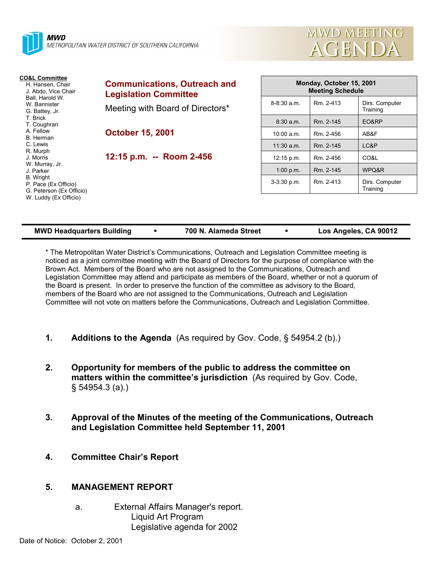| <b>MWD</b>                                                                                             | METROPOLITAN WATER DISTRICT OF SOUTHERN CALIFORNIA                  |                      |
|--------------------------------------------------------------------------------------------------------|---------------------------------------------------------------------|----------------------|
| <b>CO&amp;L Committee</b><br>H. Hansen, Chair<br>J. Abdo, Vice Chair                                   | <b>Communications, Outreach and</b><br><b>Legislation Committee</b> |                      |
| Ball. Harold W.<br>W. Bannister<br>G. Battey, Jr.<br>T. Brick<br>T. Coughran<br>A. Fellow<br>B. Herman | Meeting with Board of Directors*                                    | $8 - 8:30$ a.m       |
|                                                                                                        | <b>October 15, 2001</b>                                             | 8:30a.m<br>10:00 a.n |
| C. Lewis                                                                                               |                                                                     | $11.30 \div m$       |

**12:15 p.m. -- Room 2-456**

| Monday, October 15, 2001<br><b>Meeting Schedule</b> |           |                            |  |  |  |
|-----------------------------------------------------|-----------|----------------------------|--|--|--|
| $8 - 8:30$ a.m.                                     | Rm. 2-413 | Dirs. Computer<br>Training |  |  |  |
| 8:30 a.m.                                           | Rm. 2-145 | EO&RP                      |  |  |  |
| 10:00 a.m.                                          | Rm. 2-456 | AB&F                       |  |  |  |
| $11:30$ a.m.                                        | Rm. 2-145 | LC&P                       |  |  |  |
| 12:15 p.m.                                          | Rm. 2-456 | CO&L                       |  |  |  |
| 1:00 p.m.                                           | Rm. 2-145 | WPQ&R                      |  |  |  |
| $3-3:30$ p.m.                                       | Rm 2-413  | Dirs. Computer<br>Training |  |  |  |

**MWD MEETING** 

AGENDA

| <b>MWD Headquarters Building</b> |  | 700 N. Alameda Street |  | Los Angeles, CA 90012 |
|----------------------------------|--|-----------------------|--|-----------------------|
|----------------------------------|--|-----------------------|--|-----------------------|

\* The Metropolitan Water Districtís Communications, Outreach and Legislation Committee meeting is noticed as a joint committee meeting with the Board of Directors for the purpose of compliance with the Brown Act. Members of the Board who are not assigned to the Communications, Outreach and Legislation Committee may attend and participate as members of the Board, whether or not a quorum of the Board is present. In order to preserve the function of the committee as advisory to the Board, members of the Board who are not assigned to the Communications, Outreach and Legislation Committee will not vote on matters before the Communications, Outreach and Legislation Committee.

- **1. Additions to the Agenda** (As required by Gov. Code, ß 54954.2 (b).)
- **2. Opportunity for members of the public to address the committee on matters within the committee's jurisdiction** (As required by Gov. Code, ß 54954.3 (a).)
- **3. Approval of the Minutes of the meeting of the Communications, Outreach and Legislation Committee held September 11, 2001**
- **4. Committee Chairís Report**

# **5. MANAGEMENT REPORT**

a. External Affairs Manager's report. Liquid Art Program Legislative agenda for 2002

R. Murph J. Morris W. Murray, Jr. J. Parker B. Wright

P. Pace (Ex Officio) G. Peterson (Ex Officio) W. Luddy (Ex Officio)